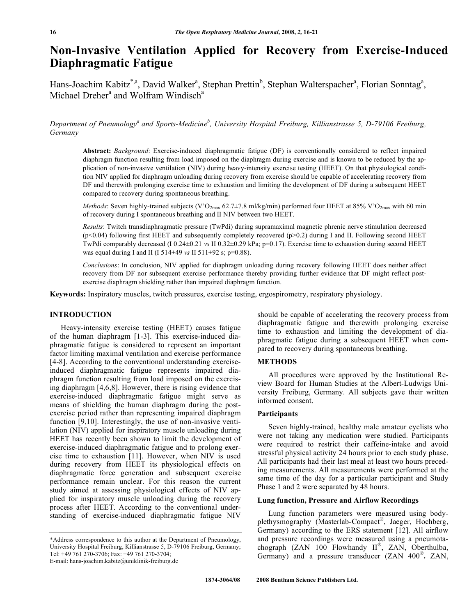# **Non-Invasive Ventilation Applied for Recovery from Exercise-Induced Diaphragmatic Fatigue**

Hans-Joachim Kabitz<sup>\*, a</sup>, David Walker<sup>a</sup>, Stephan Prettin<sup>b</sup>, Stephan Walterspacher<sup>a</sup>, Florian Sonntag<sup>a</sup>, Michael Dreher<sup>a</sup> and Wolfram Windisch<sup>a</sup>

Department of Pneumology<sup>a</sup> and Sports-Medicine<sup>b</sup>, University Hospital Freiburg, Killianstrasse 5, D-79106 Freiburg, *Germany* 

**Abstract:** *Background*: Exercise-induced diaphragmatic fatigue (DF) is conventionally considered to reflect impaired diaphragm function resulting from load imposed on the diaphragm during exercise and is known to be reduced by the application of non-invasive ventilation (NIV) during heavy-intensity exercise testing (HEET). On that physiological condition NIV applied for diaphragm unloading during recovery from exercise should be capable of accelerating recovery from DF and therewith prolonging exercise time to exhaustion and limiting the development of DF during a subsequent HEET compared to recovery during spontaneous breathing.

*Methods*: Seven highly-trained subjects (V'O<sub>2max</sub> 62.7±7.8 ml/kg/min) performed four HEET at 85% V'O<sub>2max</sub> with 60 min of recovery during I spontaneous breathing and II NIV between two HEET.

*Results*: Twitch transdiaphragmatic pressure (TwPdi) during supramaximal magnetic phrenic nerve stimulation decreased (p<0.04) following first HEET and subsequently completely recovered (p>0.2) during I and II. Following second HEET TwPdi comparably decreased (I 0.24±0.21 *vs* II 0.32±0.29 kPa; p=0.17). Exercise time to exhaustion during second HEET was equal during I and II (I 514±49 *vs* II 511±92 s; p=0.88).

*Conclusions*: In conclusion, NIV applied for diaphragm unloading during recovery following HEET does neither affect recovery from DF nor subsequent exercise performance thereby providing further evidence that DF might reflect postexercise diaphragm shielding rather than impaired diaphragm function.

**Keywords:** Inspiratory muscles, twitch pressures, exercise testing, ergospirometry, respiratory physiology.

# **INTRODUCTION**

 Heavy-intensity exercise testing (HEET) causes fatigue of the human diaphragm [1-3]. This exercise-induced diaphragmatic fatigue is considered to represent an important factor limiting maximal ventilation and exercise performance [4-8]. According to the conventional understanding exerciseinduced diaphragmatic fatigue represents impaired diaphragm function resulting from load imposed on the exercising diaphragm [4,6,8]. However, there is rising evidence that exercise-induced diaphragmatic fatigue might serve as means of shielding the human diaphragm during the postexercise period rather than representing impaired diaphragm function [9,10]. Interestingly, the use of non-invasive ventilation (NIV) applied for inspiratory muscle unloading during HEET has recently been shown to limit the development of exercise-induced diaphragmatic fatigue and to prolong exercise time to exhaustion [11]. However, when NIV is used during recovery from HEET its physiological effects on diaphragmatic force generation and subsequent exercise performance remain unclear. For this reason the current study aimed at assessing physiological effects of NIV applied for inspiratory muscle unloading during the recovery process after HEET. According to the conventional understanding of exercise-induced diaphragmatic fatigue NIV

should be capable of accelerating the recovery process from diaphragmatic fatigue and therewith prolonging exercise time to exhaustion and limiting the development of diaphragmatic fatigue during a subsequent HEET when compared to recovery during spontaneous breathing.

#### **METHODS**

 All procedures were approved by the Institutional Review Board for Human Studies at the Albert-Ludwigs University Freiburg, Germany. All subjects gave their written informed consent.

### **Participants**

 Seven highly-trained, healthy male amateur cyclists who were not taking any medication were studied. Participants were required to restrict their caffeine-intake and avoid stressful physical activity 24 hours prior to each study phase. All participants had their last meal at least two hours preceding measurements. All measurements were performed at the same time of the day for a particular participant and Study Phase 1 and 2 were separated by 48 hours.

### **Lung function, Pressure and Airflow Recordings**

 Lung function parameters were measured using bodyplethysmography (Masterlab-Compact®, Jaeger, Hochberg, Germany) according to the ERS statement [12]. All airflow and pressure recordings were measured using a pneumotachograph (ZAN 100 Flowhandy  $II^{\mathbb{B}}$ , ZAN, Oberthulba, Germany) and a pressure transducer (ZAN 400®, ZAN,

<sup>\*</sup>Address correspondence to this author at the Department of Pneumology, University Hospital Freiburg, Killianstrasse 5, D-79106 Freiburg, Germany; Tel: +49 761 270-3706; Fax: +49 761 270-3704; E-mail: hans-joachim.kabitz@uniklinik-freiburg.de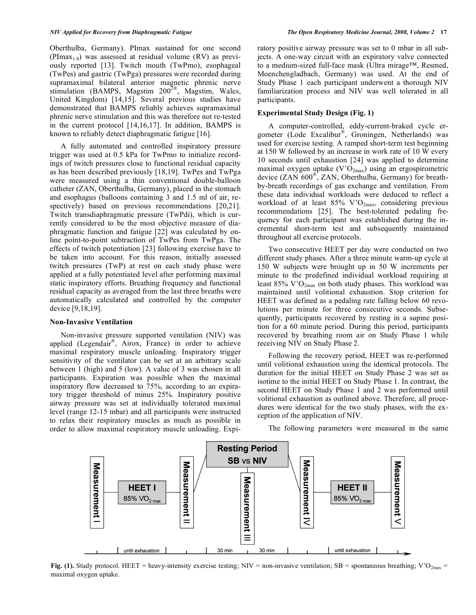Oberthulba, Germany). PImax sustained for one second (PImax<sub>1.0</sub>) was assessed at residual volume (RV) as previously reported [13]. Twitch mouth (TwPmo), esophageal (TwPes) and gastric (TwPga) pressures were recorded during supramaximal bilateral anterior magnetic phrenic nerve stimulation (BAMPS, Magstim  $200^{2\%}$ , Magstim, Wales, United Kingdom) [14,15]. Several previous studies have demonstrated that BAMPS reliably achieves supramaximal phrenic nerve stimulation and this was therefore not re-tested in the current protocol [14,16,17]. In addition, BAMPS is known to reliably detect diaphragmatic fatigue [16].

 A fully automated and controlled inspiratory pressure trigger was used at 0.5 kPa for TwPmo to initialize recordings of twitch pressures close to functional residual capacity as has been described previously [18,19]. TwPes and TwPga were measured using a thin conventional double-balloon catheter (ZAN, Oberthulba, Germany), placed in the stomach and esophagus (balloons containing 3 and 1.5 ml of air, respectively) based on previous recommendations [20,21]. Twitch transdiaphragmatic pressure (TwPdi), which is currently considered to be the most objective measure of diaphragmatic function and fatigue [22] was calculated by online point-to-point subtraction of TwPes from TwPga. The effects of twitch potentiation [23] following exercise have to be taken into account. For this reason, initially assessed twitch pressures (TwP) at rest on each study phase were applied at a fully potentiated level after performing maximal static inspiratory efforts. Breathing frequency and functional residual capacity as averaged from the last three breaths were automatically calculated and controlled by the computer device [9,18,19].

#### **Non-Invasive Ventilation**

 Non-invasive pressure supported ventilation (NIV) was applied (Legendair®, Airox, France) in order to achieve maximal respiratory muscle unloading. Inspiratory trigger sensitivity of the ventilator can be set at an arbitrary scale between 1 (high) and 5 (low). A value of 3 was chosen in all participants. Expiration was possible when the maximal inspiratory flow decreased to 75%, according to an expiratory trigger threshold of minus 25%. Inspiratory positive airway pressure was set at individually tolerated maximal level (range 12-15 mbar) and all participants were instructed to relax their respiratory muscles as much as possible in order to allow maximal respiratory muscle unloading. Expiratory positive airway pressure was set to 0 mbar in all subjects. A one-way circuit with an expiratory valve connected to a medium-sized full-face mask (Ultra mirage™, Resmed, Moenchengladbach, Germany) was used. At the end of Study Phase 1 each participant underwent a thorough NIV familiarization process and NIV was well tolerated in all participants.

# **Experimental Study Design (Fig. 1)**

 A computer-controlled, eddy-current-braked cycle ergometer (Lode Excalibur®, Groningen, Netherlands) was used for exercise testing. A ramped short-term test beginning at 150 W followed by an increase in work rate of 10 W every 10 seconds until exhaustion [24] was applied to determine maximal oxygen uptake  $(V'O_{2max})$  using an ergospirometric device (ZAN 600®, ZAN, Oberthulba, Germany) for breathby-breath recordings of gas exchange and ventilation. From these data individual workloads were deduced to reflect a workload of at least  $85\%$  V'O<sub>2max</sub>, considering previous recommendations [25]. The best-tolerated pedaling frequency for each participant was established during the incremental short-term test and subsequently maintained throughout all exercise protocols.

 Two consecutive HEET per day were conducted on two different study phases. After a three minute warm-up cycle at 150 W subjects were brought up in 50 W increments per minute to the predefined individual workload requiring at least  $85\%$  V' $O_{2max}$  on both study phases. This workload was maintained until volitional exhaustion. Stop criterion for HEET was defined as a pedaling rate falling below 60 revolutions per minute for three consecutive seconds. Subsequently, participants recovered by resting in a supine position for a 60 minute period. During this period, participants recovered by breathing room air on Study Phase 1 while receiving NIV on Study Phase 2.

 Following the recovery period, HEET was re-performed until volitional exhaustion using the identical protocols. The duration for the initial HEET on Study Phase 2 was set as isotime to the initial HEET on Study Phase 1. In contrast, the second HEET on Study Phase 1 and 2 was performed until volitional exhaustion as outlined above. Therefore, all procedures were identical for the two study phases, with the exception of the application of NIV.

The following parameters were measured in the same



**Fig. (1).** Study protocol. HEET = heavy-intensity exercise testing; NIV = non-invasive ventilation; SB = spontaneous breathing; V'O<sub>2max</sub> = maximal oxygen uptake.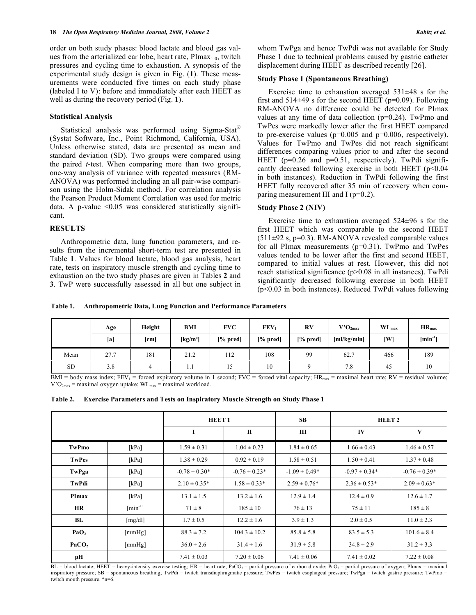order on both study phases: blood lactate and blood gas values from the arterialized ear lobe, heart rate,  $PImax_{1.0}$ , twitch pressures and cycling time to exhaustion. A synopsis of the experimental study design is given in Fig. (**1**). These measurements were conducted five times on each study phase (labeled I to V): before and immediately after each HEET as well as during the recovery period (Fig. **1**).

#### **Statistical Analysis**

 Statistical analysis was performed using Sigma-Stat® (Systat Software, Inc., Point Richmond, California, USA). Unless otherwise stated, data are presented as mean and standard deviation (SD). Two groups were compared using the paired *t*-test. When comparing more than two groups, one-way analysis of variance with repeated measures (RM-ANOVA) was performed including an all pair-wise comparison using the Holm-Sidak method. For correlation analysis the Pearson Product Moment Correlation was used for metric data. A p-value  $\leq 0.05$  was considered statistically significant.

#### **RESULTS**

 Anthropometric data, lung function parameters, and results from the incremental short-term test are presented in Table **1**. Values for blood lactate, blood gas analysis, heart rate, tests on inspiratory muscle strength and cycling time to exhaustion on the two study phases are given in Tables **2** and **3**. TwP were successfully assessed in all but one subject in whom TwPga and hence TwPdi was not available for Study Phase 1 due to technical problems caused by gastric catheter displacement during HEET as described recently [26].

#### **Study Phase 1 (Spontaneous Breathing)**

Exercise time to exhaustion averaged  $531\pm48$  s for the first and  $514\pm49$  s for the second HEET (p=0.09). Following RM-ANOVA no difference could be detected for PImax values at any time of data collection (p=0.24). TwPmo and TwPes were markedly lower after the first HEET compared to pre-exercise values ( $p=0.005$  and  $p=0.006$ , respectively). Values for TwPmo and TwPes did not reach significant differences comparing values prior to and after the second HEET ( $p=0.26$  and  $p=0.51$ , respectively). TwPdi significantly decreased following exercise in both HEET  $(p<0.04$ in both instances). Reduction in TwPdi following the first HEET fully recovered after 35 min of recovery when comparing measurement III and I ( $p=0.2$ ).

#### **Study Phase 2 (NIV)**

Exercise time to exhaustion averaged  $524\pm96$  s for the first HEET which was comparable to the second HEET  $(511\pm92 \text{ s}, \text{p=0.3})$ . RM-ANOVA revealed comparable values for all PImax measurements  $(p=0.31)$ . TwPmo and TwPes values tended to be lower after the first and second HEET, compared to initial values at rest. However, this did not reach statistical significance (p>0.08 in all instances). TwPdi significantly decreased following exercise in both HEET (p<0.03 in both instances). Reduced TwPdi values following

**Table 1. Anthropometric Data, Lung Function and Performance Parameters** 

|           | Age  | Height | <b>BMI</b>                     | <b>FVC</b> | FEV <sub>1</sub> | RV       | $V'O_{2max}$ | $\mathbf{WL}_{\text{max}}$ | $HR_{max}$    |
|-----------|------|--------|--------------------------------|------------|------------------|----------|--------------|----------------------------|---------------|
|           | [a]  | [cm]   | $\left[\mathrm{kg/m^2}\right]$ | $[%$ pred] | $[%$ pred]       | [% pred] | [m]/kg/min]  | [W]                        | $[\min^{-1}]$ |
| Mean      | 27.7 | 181    | 21.2                           | 112        | 108              | 99       | 62.7         | 466                        | 189           |
| <b>SD</b> | 3.8  | 4      | 1.1                            | 15         | 10               |          | 7.8          | 45                         | 10            |

BMI = body mass index; FEV<sub>1</sub> = forced expiratory volume in 1 second; FVC = forced vital capacity;  $HR_{max}$  = maximal heart rate; RV = residual volume;  $V'O<sub>2max</sub>$  = maximal oxygen uptake;  $WL<sub>max</sub>$  = maximal workload.

|  | Table 2. Exercise Parameters and Tests on Inspiratory Muscle Strength on Study Phase 1 |  |  |  |  |  |  |
|--|----------------------------------------------------------------------------------------|--|--|--|--|--|--|
|--|----------------------------------------------------------------------------------------|--|--|--|--|--|--|

|                   |                           | <b>HEET1</b>      |                   | <b>SB</b>         | HEET <sub>2</sub> |                   |
|-------------------|---------------------------|-------------------|-------------------|-------------------|-------------------|-------------------|
|                   |                           |                   | $\mathbf{H}$      | Ш                 | IV                | V                 |
| TwPmo             | [kPa]                     | $1.59 \pm 0.31$   | $1.04 \pm 0.23$   | $1.84 \pm 0.65$   | $1.66 \pm 0.43$   | $1.46 \pm 0.57$   |
| TwPes             | [kPa]                     | $1.38 \pm 0.29$   | $0.92 \pm 0.19$   | $1.58 \pm 0.51$   | $1.50 \pm 0.41$   | $1.37 \pm 0.48$   |
| TwPga             | [kPa]                     | $-0.78 \pm 0.30*$ | $-0.76 \pm 0.23*$ | $-1.09 \pm 0.49*$ | $-0.97 \pm 0.34*$ | $-0.76 \pm 0.39*$ |
| TwPdi             | [kPa]                     | $2.10 \pm 0.35*$  | $1.58 \pm 0.33*$  | $2.59 \pm 0.76*$  | $2.36 \pm 0.53*$  | $2.09 \pm 0.63*$  |
| <b>PImax</b>      | [kPa]                     | $13.1 \pm 1.5$    | $13.2 \pm 1.6$    | $12.9 \pm 1.4$    | $12.4 \pm 0.9$    | $12.6 \pm 1.7$    |
| <b>HR</b>         | $\lceil \min^{-1} \rceil$ | $71 \pm 8$        | $185 \pm 10$      | $76 \pm 13$       | $75 \pm 11$       | $185 \pm 8$       |
| BL                | [mg/d1]                   | $1.7 \pm 0.5$     | $12.2 \pm 1.6$    | $3.9 \pm 1.3$     | $2.0 \pm 0.5$     | $11.0 \pm 2.3$    |
| PaO <sub>2</sub>  | [mmHg]                    | $88.3 \pm 7.2$    | $104.3 \pm 10.2$  | $85.8 \pm 5.8$    | $83.5 \pm 5.3$    | $101.6 \pm 8.4$   |
| PaCO <sub>2</sub> | [mmHg]                    | $36.0 \pm 2.6$    | $31.4 \pm 1.6$    | $31.9 \pm 5.8$    | $34.8 \pm 2.9$    | $31.2 \pm 3.3$    |
| pН                |                           | $7.41 \pm 0.03$   | $7.20 \pm 0.06$   | $7.41 \pm 0.06$   | $7.41 \pm 0.02$   | $7.22 \pm 0.08$   |

 $BL = blood$  lactate; HEET = heavy-intensity exercise testing; HR = heart rate; PaCO<sub>2</sub> = partial pressure of carbon dioxide; PaO<sub>2</sub> = partial pressure of oxygen; PImax = maximal inspiratory pressure; SB = spontaneous breathing; TwPdi = twitch transdiaphragmatic pressure; TwPes = twitch esophageal pressure; TwPga = twitch gastric pressure; TwPmo = twitch mouth pressure. \*n=6.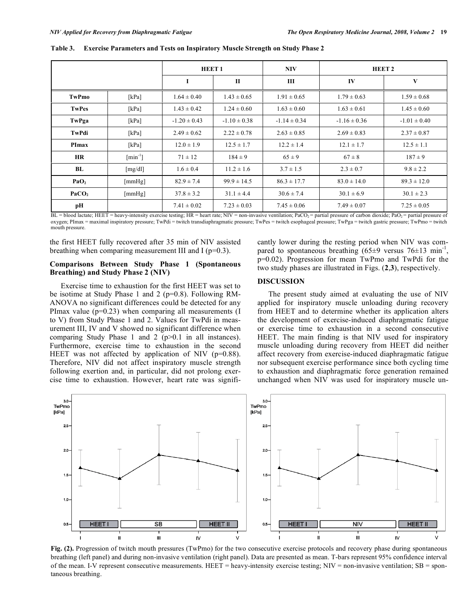|                   |                           | <b>HEET1</b>     |                  | <b>NIV</b>       | HEET <sub>2</sub> |                  |  |
|-------------------|---------------------------|------------------|------------------|------------------|-------------------|------------------|--|
|                   |                           | 1                | $\mathbf{I}$     | Ш                | IV                | V                |  |
| TwPmo             | [kPa]                     | $1.64 \pm 0.40$  | $1.43 \pm 0.65$  | $1.91 \pm 0.65$  | $1.79 \pm 0.63$   | $1.59 \pm 0.68$  |  |
| <b>TwPes</b>      | [kPa]                     | $1.43 \pm 0.42$  | $1.24 \pm 0.60$  | $1.63 \pm 0.60$  | $1.63 \pm 0.61$   | $1.45 \pm 0.60$  |  |
| TwPga             | [kPa]                     | $-1.20 \pm 0.43$ | $-1.10 \pm 0.38$ | $-1.14 \pm 0.34$ | $-1.16 \pm 0.36$  | $-1.01 \pm 0.40$ |  |
| TwPdi             | [kPa]                     | $2.49 \pm 0.62$  | $2.22 \pm 0.78$  | $2.63 \pm 0.85$  | $2.69 \pm 0.83$   | $2.37 \pm 0.87$  |  |
| PImax             | [kPa]                     | $12.0 \pm 1.9$   | $12.5 \pm 1.7$   | $12.2 \pm 1.4$   | $12.1 \pm 1.7$    | $12.5 \pm 1.1$   |  |
| <b>HR</b>         | $\lceil \min^{-1} \rceil$ | $71 \pm 12$      | $184 \pm 9$      | $65 \pm 9$       | $67 \pm 8$        | $187 \pm 9$      |  |
| BL                | [mg/dl]                   | $1.6 \pm 0.4$    | $11.2 \pm 1.6$   | $3.7 \pm 1.5$    | $2.3 \pm 0.7$     | $9.8 \pm 2.2$    |  |
| PaO <sub>2</sub>  | [mmHg]                    | $82.9 \pm 7.4$   | $99.9 \pm 14.5$  | $86.3 \pm 17.7$  | $83.0 \pm 14.0$   | $89.3 \pm 12.0$  |  |
| PaCO <sub>2</sub> | [mmHg]                    | $37.8 \pm 3.2$   | $31.1 \pm 4.4$   | $30.6 \pm 7.4$   | $30.1 \pm 6.9$    | $30.1 \pm 2.3$   |  |
| pН                |                           | $7.41 \pm 0.02$  | $7.23 \pm 0.03$  | $7.45 \pm 0.06$  | $7.49 \pm 0.07$   | $7.25 \pm 0.05$  |  |

**Table 3. Exercise Parameters and Tests on Inspiratory Muscle Strength on Study Phase 2** 

 $BL = blood$  lactate; HEET = heavy-intensity exercise testing; HR = heart rate; NIV = non-invasive ventilation; PaCO<sub>2</sub> = partial pressure of carbon dioxide; PaO<sub>2</sub> = partial pressure of oxygen; PImax = maximal inspiratory pressure; TwPdi = twitch transdiaphragmatic pressure; TwPes = twitch esophageal pressure; TwPga = twitch gastric pressure; TwPmo = twitch mouth pressure.

the first HEET fully recovered after 35 min of NIV assisted breathing when comparing measurement III and I ( $p=0.3$ ).

## **Comparisons Between Study Phase 1 (Spontaneous Breathing) and Study Phase 2 (NIV)**

 Exercise time to exhaustion for the first HEET was set to be isotime at Study Phase 1 and 2 (p=0.8). Following RM-ANOVA no significant differences could be detected for any PImax value ( $p=0.23$ ) when comparing all measurements (I to V) from Study Phase 1 and 2. Values for TwPdi in measurement III, IV and V showed no significant difference when comparing Study Phase 1 and 2 (p>0.1 in all instances). Furthermore, exercise time to exhaustion in the second HEET was not affected by application of NIV ( $p=0.88$ ). Therefore, NIV did not affect inspiratory muscle strength following exertion and, in particular, did not prolong exercise time to exhaustion. However, heart rate was significantly lower during the resting period when NIV was compared to spontaneous breathing  $(65\pm9 \text{ versus } 76\pm13 \text{ min}^{-1})$ , p=0.02). Progression for mean TwPmo and TwPdi for the two study phases are illustrated in Figs. (**2**,**3**), respectively.

# **DISCUSSION**

 The present study aimed at evaluating the use of NIV applied for inspiratory muscle unloading during recovery from HEET and to determine whether its application alters the development of exercise-induced diaphragmatic fatigue or exercise time to exhaustion in a second consecutive HEET. The main finding is that NIV used for inspiratory muscle unloading during recovery from HEET did neither affect recovery from exercise-induced diaphragmatic fatigue nor subsequent exercise performance since both cycling time to exhaustion and diaphragmatic force generation remained unchanged when NIV was used for inspiratory muscle un-



**Fig. (2).** Progression of twitch mouth pressures (TwPmo) for the two consecutive exercise protocols and recovery phase during spontaneous breathing (left panel) and during non-invasive ventilation (right panel). Data are presented as mean. T-bars represent 95% confidence interval of the mean. I-V represent consecutive measurements. HEET = heavy-intensity exercise testing;  $NIV =$  non-invasive ventilation;  $SB =$  spontaneous breathing.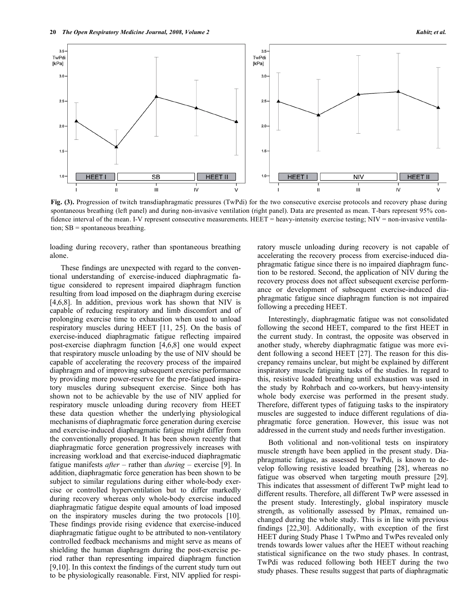

**Fig. (3).** Progression of twitch transdiaphragmatic pressures (TwPdi) for the two consecutive exercise protocols and recovery phase during spontaneous breathing (left panel) and during non-invasive ventilation (right panel). Data are presented as mean. T-bars represent 95% confidence interval of the mean. I-V represent consecutive measurements. HEET = heavy-intensity exercise testing; NIV = non-invasive ventilation; SB = spontaneous breathing.

loading during recovery, rather than spontaneous breathing alone.

 These findings are unexpected with regard to the conventional understanding of exercise-induced diaphragmatic fatigue considered to represent impaired diaphragm function resulting from load imposed on the diaphragm during exercise [4,6,8]. In addition, previous work has shown that NIV is capable of reducing respiratory and limb discomfort and of prolonging exercise time to exhaustion when used to unload respiratory muscles during HEET [11, 25]. On the basis of exercise-induced diaphragmatic fatigue reflecting impaired post-exercise diaphragm function [4,6,8] one would expect that respiratory muscle unloading by the use of NIV should be capable of accelerating the recovery process of the impaired diaphragm and of improving subsequent exercise performance by providing more power-reserve for the pre-fatigued inspiratory muscles during subsequent exercise. Since both has shown not to be achievable by the use of NIV applied for respiratory muscle unloading during recovery from HEET these data question whether the underlying physiological mechanisms of diaphragmatic force generation during exercise and exercise-induced diaphragmatic fatigue might differ from the conventionally proposed. It has been shown recently that diaphragmatic force generation progressively increases with increasing workload and that exercise-induced diaphragmatic fatigue manifests *after* – rather than *during* – exercise [9]. In addition, diaphragmatic force generation has been shown to be subject to similar regulations during either whole-body exercise or controlled hyperventilation but to differ markedly during recovery whereas only whole-body exercise induced diaphragmatic fatigue despite equal amounts of load imposed on the inspiratory muscles during the two protocols [10]. These findings provide rising evidence that exercise-induced diaphragmatic fatigue ought to be attributed to non-ventilatory controlled feedback mechanisms and might serve as means of shielding the human diaphragm during the post-exercise period rather than representing impaired diaphragm function [9,10]. In this context the findings of the current study turn out to be physiologically reasonable. First, NIV applied for respiratory muscle unloading during recovery is not capable of accelerating the recovery process from exercise-induced diaphragmatic fatigue since there is no impaired diaphragm function to be restored. Second, the application of NIV during the recovery process does not affect subsequent exercise performance or development of subsequent exercise-induced diaphragmatic fatigue since diaphragm function is not impaired following a preceding HEET.

 Interestingly, diaphragmatic fatigue was not consolidated following the second HEET, compared to the first HEET in the current study. In contrast, the opposite was observed in another study, whereby diaphragmatic fatigue was more evident following a second HEET [27]. The reason for this discrepancy remains unclear, but might be explained by different inspiratory muscle fatiguing tasks of the studies. In regard to this, resistive loaded breathing until exhaustion was used in the study by Rohrbach and co-workers, but heavy-intensity whole body exercise was performed in the present study. Therefore, different types of fatiguing tasks to the inspiratory muscles are suggested to induce different regulations of diaphragmatic force generation. However, this issue was not addressed in the current study and needs further investigation.

 Both volitional and non-volitional tests on inspiratory muscle strength have been applied in the present study. Diaphragmatic fatigue, as assessed by TwPdi, is known to develop following resistive loaded breathing [28], whereas no fatigue was observed when targeting mouth pressure [29]. This indicates that assessment of different TwP might lead to different results. Therefore, all different TwP were assessed in the present study. Interestingly, global inspiratory muscle strength, as volitionally assessed by PImax, remained unchanged during the whole study. This is in line with previous findings [22,30]. Additionally, with exception of the first HEET during Study Phase 1 TwPmo and TwPes revealed only trends towards lower values after the HEET without reaching statistical significance on the two study phases. In contrast, TwPdi was reduced following both HEET during the two study phases. These results suggest that parts of diaphragmatic